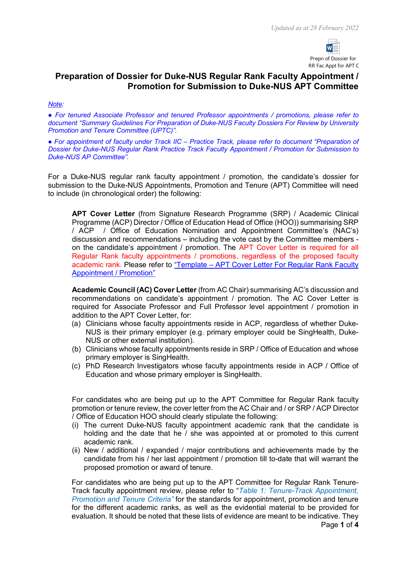

## **Preparation of Dossier for Duke-NUS Regular Rank Faculty Appointment / Promotion for Submission to Duke-NUS APT Committee**

#### *Note:*

*● For tenured Associate Professor and tenured Professor appointments / promotions, please refer to document "Summary Guidelines For Preparation of Duke-NUS Faculty Dossiers For Review by University Promotion and Tenure Committee (UPTC)".* 

*● For appointment of faculty under Track IIC – Practice Track, please refer to document "Preparation of Dossier for Duke-NUS Regular Rank Practice Track Faculty Appointment / Promotion for Submission to Duke-NUS AP Committee".*

For a Duke-NUS regular rank faculty appointment / promotion, the candidate's dossier for submission to the Duke-NUS Appointments, Promotion and Tenure (APT) Committee will need to include (in chronological order) the following:

**APT Cover Letter** (from Signature Research Programme (SRP) / Academic Clinical Programme (ACP) Director / Office of Education Head of Office (HOO)) summarising SRP / ACP / Office of Education Nomination and Appointment Committee's (NAC's) discussion and recommendations – including the vote cast by the Committee members on the candidate's appointment / promotion. The APT Cover Letter is required for all Regular Rank faculty appointments / promotions, regardless of the proposed faculty academic rank. Please refer to "Template – [APT Cover Letter For Regular Rank Faculty](https://www.duke-nus.edu.sg/docs/default-source/academic-medicine-docs/fdr/6-template---apt-cover-letter-for-rr-faculty-(18-nov-2020)_v1.docx)  [Appointment / Promotion"](https://www.duke-nus.edu.sg/docs/default-source/academic-medicine-docs/fdr/6-template---apt-cover-letter-for-rr-faculty-(18-nov-2020)_v1.docx)

**Academic Council (AC) Cover Letter** (from AC Chair) summarising AC's discussion and recommendations on candidate's appointment / promotion. The AC Cover Letter is required for Associate Professor and Full Professor level appointment / promotion in addition to the APT Cover Letter, for:

- (a) Clinicians whose faculty appointments reside in ACP, regardless of whether Duke-NUS is their primary employer (e.g. primary employer could be SingHealth, Duke-NUS or other external institution).
- (b) Clinicians whose faculty appointments reside in SRP / Office of Education and whose primary employer is SingHealth.
- (c) PhD Research Investigators whose faculty appointments reside in ACP / Office of Education and whose primary employer is SingHealth.

For candidates who are being put up to the APT Committee for Regular Rank faculty promotion or tenure review, the cover letter from the AC Chair and / or SRP / ACP Director / Office of Education HOO should clearly stipulate the following:

- (i) The current Duke-NUS faculty appointment academic rank that the candidate is holding and the date that he / she was appointed at or promoted to this current academic rank.
- (ii) New / additional / expanded / major contributions and achievements made by the candidate from his / her last appointment / promotion till to-date that will warrant the proposed promotion or award of tenure.

For candidates who are being put up to the APT Committee for Regular Rank Tenure-Track faculty appointment review, please refer to "*Table 1: Tenure-Track Appointment, Promotion and Tenure Criteria"* for the standards for appointment, promotion and tenure for the different academic ranks, as well as the evidential material to be provided for evaluation. It should be noted that these lists of evidence are meant to be indicative. They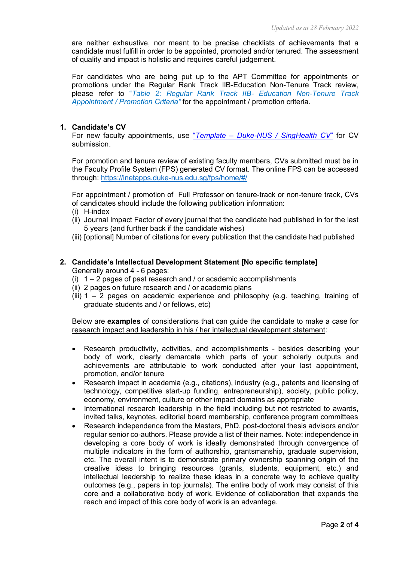are neither exhaustive, nor meant to be precise checklists of achievements that a candidate must fulfill in order to be appointed, promoted and/or tenured. The assessment of quality and impact is holistic and requires careful judgement.

For candidates who are being put up to the APT Committee for appointments or promotions under the Regular Rank Track IIB-Education Non-Tenure Track review, please refer to "*Table 2: Regular Rank Track IIB- Education Non-Tenure Track Appointment / Promotion Criteria"* for the appointment / promotion criteria.

#### **1. Candidate's CV**

For new faculty appointments, use "*Template – Duke-[NUS / SingHealth CV](https://www.duke-nus.edu.sg/docs/default-source/academic-medicine-docs/fdr/9-duke-nus-cv-template-(1-july-2020).docx)*" for CV submission.

For promotion and tenure review of existing faculty members, CVs submitted must be in the Faculty Profile System (FPS) generated CV format. The online FPS can be accessed through:<https://inetapps.duke-nus.edu.sg/fps/home/#/>

For appointment / promotion of Full Professor on tenure-track or non-tenure track, CVs of candidates should include the following publication information:

- (i) H-index
- (ii) Journal Impact Factor of every journal that the candidate had published in for the last 5 years (and further back if the candidate wishes)
- (iii) [optional] Number of citations for every publication that the candidate had published
- **2. Candidate's Intellectual Development Statement [No specific template]** Generally around 4 - 6 pages:
	- (i)  $1 2$  pages of past research and / or academic accomplishments
	- (ii) 2 pages on future research and / or academic plans
	- $(iii)$  1 2 pages on academic experience and philosophy (e.g. teaching, training of graduate students and / or fellows, etc)

Below are **examples** of considerations that can guide the candidate to make a case for research impact and leadership in his / her intellectual development statement:

- Research productivity, activities, and accomplishments besides describing your body of work, clearly demarcate which parts of your scholarly outputs and achievements are attributable to work conducted after your last appointment, promotion, and/or tenure
- Research impact in academia (e.g., citations), industry (e.g., patents and licensing of technology, competitive start-up funding, entrepreneurship), society, public policy, economy, environment, culture or other impact domains as appropriate
- International research leadership in the field including but not restricted to awards, invited talks, keynotes, editorial board membership, conference program committees
- Research independence from the Masters, PhD, post-doctoral thesis advisors and/or regular senior co-authors. Please provide a list of their names. Note: independence in developing a core body of work is ideally demonstrated through convergence of multiple indicators in the form of authorship, grantsmanship, graduate supervision, etc. The overall intent is to demonstrate primary ownership spanning origin of the creative ideas to bringing resources (grants, students, equipment, etc.) and intellectual leadership to realize these ideas in a concrete way to achieve quality outcomes (e.g., papers in top journals). The entire body of work may consist of this core and a collaborative body of work. Evidence of collaboration that expands the reach and impact of this core body of work is an advantage.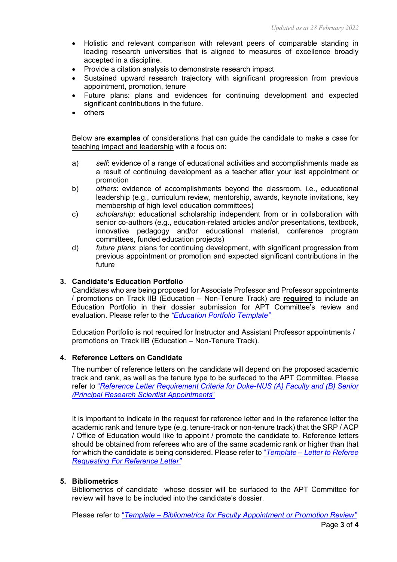- Holistic and relevant comparison with relevant peers of comparable standing in leading research universities that is aligned to measures of excellence broadly accepted in a discipline.
- Provide a citation analysis to demonstrate research impact
- Sustained upward research trajectory with significant progression from previous appointment, promotion, tenure
- Future plans: plans and evidences for continuing development and expected significant contributions in the future.
- others

Below are **examples** of considerations that can guide the candidate to make a case for teaching impact and leadership with a focus on:

- a) *self*: evidence of a range of educational activities and accomplishments made as a result of continuing development as a teacher after your last appointment or promotion
- b) *others*: evidence of accomplishments beyond the classroom, i.e., educational leadership (e.g., curriculum review, mentorship, awards, keynote invitations, key membership of high level education committees)
- c) *scholarship*: educational scholarship independent from or in collaboration with senior co-authors (e.g., education-related articles and/or presentations, textbook, innovative pedagogy and/or educational material, conference program committees, funded education projects)
- d) *future plans*: plans for continuing development, with significant progression from previous appointment or promotion and expected significant contributions in the future

#### **3. Candidate's Education Portfolio**

Candidates who are being proposed for Associate Professor and Professor appointments / promotions on Track IIB (Education – Non-Tenure Track) are **required** to include an Education Portfolio in their dossier submission for APT Committee's review and evaluation. Please refer to the *["Education Portfolio Template"](https://www.duke-nus.edu.sg/docs/default-source/academic-medicine-docs/fdr/education-portfolio-template-(new)d6ba86dcfc5f451587f6975dbdab9205.pdf?sfvrsn=3331c90d_2)*

Education Portfolio is not required for Instructor and Assistant Professor appointments / promotions on Track IIB (Education – Non-Tenure Track).

#### **4. Reference Letters on Candidate**

The number of reference letters on the candidate will depend on the proposed academic track and rank, as well as the tenure type to be surfaced to the APT Committee. Please refer to "*Reference Letter Requirement Criteria for Duke-[NUS \(A\) Faculty and \(B\) Senior](https://www.duke-nus.edu.sg/docs/default-source/academic-medicine-docs/fdr/10-ref-ltr-requirment-for-duke-nus-(i)-fac-and-(ii)-prs-appts-(11-feb-2022).pdf)  [/Principal Research Scientist Appointments](https://www.duke-nus.edu.sg/docs/default-source/academic-medicine-docs/fdr/10-ref-ltr-requirment-for-duke-nus-(i)-fac-and-(ii)-prs-appts-(11-feb-2022).pdf)*"

It is important to indicate in the request for reference letter and in the reference letter the academic rank and tenure type (e.g. tenure-track or non-tenure track) that the SRP / ACP / Office of Education would like to appoint / promote the candidate to. Reference letters should be obtained from referees who are of the same academic rank or higher than that for which the candidate is being considered. Please refer to "*Template – [Letter to Referee](https://www.duke-nus.edu.sg/docs/default-source/academic-medicine-docs/fdr/8-template---letter-to-referee-requesting-for-reference-letter-(18-feb-2022).docx)  [Requesting For Reference Letter"](https://www.duke-nus.edu.sg/docs/default-source/academic-medicine-docs/fdr/8-template---letter-to-referee-requesting-for-reference-letter-(18-feb-2022).docx)*

#### **5. Bibliometrics**

Bibliometrics of candidate whose dossier will be surfaced to the APT Committee for review will have to be included into the candidate's dossier.

Please refer to "*Template – Bibliometrics for Faculty [Appointment or Promotion Review"](https://www.duke-nus.edu.sg/docs/default-source/academic-medicine-docs/fdr/20-template-bibliometrics-for-faculty-appointment-or-promotion-review-(26-oct-2021).xlsx)*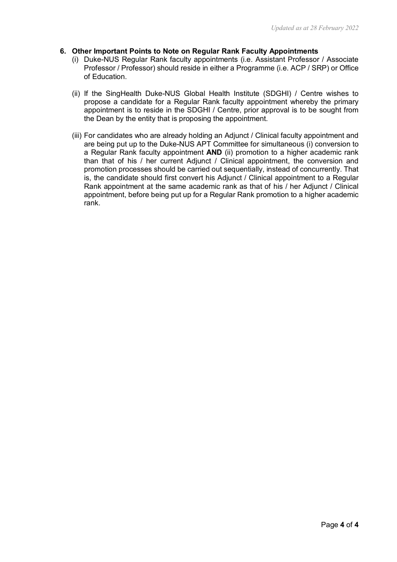#### **6. Other Important Points to Note on Regular Rank Faculty Appointments**

- (i) Duke-NUS Regular Rank faculty appointments (i.e. Assistant Professor / Associate Professor / Professor) should reside in either a Programme (i.e. ACP / SRP) or Office of Education.
- (ii) If the SingHealth Duke-NUS Global Health Institute (SDGHI) / Centre wishes to propose a candidate for a Regular Rank faculty appointment whereby the primary appointment is to reside in the SDGHI / Centre, prior approval is to be sought from the Dean by the entity that is proposing the appointment.
- (iii) For candidates who are already holding an Adjunct / Clinical faculty appointment and are being put up to the Duke-NUS APT Committee for simultaneous (i) conversion to a Regular Rank faculty appointment **AND** (ii) promotion to a higher academic rank than that of his / her current Adjunct / Clinical appointment, the conversion and promotion processes should be carried out sequentially, instead of concurrently. That is, the candidate should first convert his Adjunct / Clinical appointment to a Regular Rank appointment at the same academic rank as that of his / her Adjunct / Clinical appointment, before being put up for a Regular Rank promotion to a higher academic rank.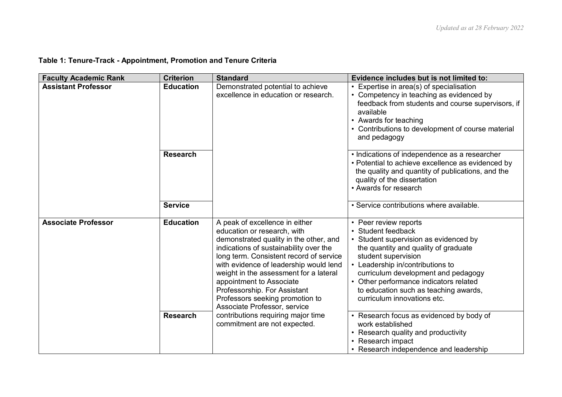| <b>Faculty Academic Rank</b> | <b>Criterion</b> | <b>Standard</b>                                                                                                                                                                                                                                                                                                                                                                                                 | Evidence includes but is not limited to:                                                                                                                                                                                                                                                                                                         |
|------------------------------|------------------|-----------------------------------------------------------------------------------------------------------------------------------------------------------------------------------------------------------------------------------------------------------------------------------------------------------------------------------------------------------------------------------------------------------------|--------------------------------------------------------------------------------------------------------------------------------------------------------------------------------------------------------------------------------------------------------------------------------------------------------------------------------------------------|
| <b>Assistant Professor</b>   | <b>Education</b> | Demonstrated potential to achieve<br>excellence in education or research.                                                                                                                                                                                                                                                                                                                                       | • Expertise in area(s) of specialisation<br>• Competency in teaching as evidenced by<br>feedback from students and course supervisors, if<br>available<br>• Awards for teaching<br>• Contributions to development of course material<br>and pedagogy                                                                                             |
|                              | <b>Research</b>  |                                                                                                                                                                                                                                                                                                                                                                                                                 | • Indications of independence as a researcher<br>• Potential to achieve excellence as evidenced by<br>the quality and quantity of publications, and the<br>quality of the dissertation<br>• Awards for research                                                                                                                                  |
|                              | <b>Service</b>   |                                                                                                                                                                                                                                                                                                                                                                                                                 | • Service contributions where available.                                                                                                                                                                                                                                                                                                         |
| <b>Associate Professor</b>   | <b>Education</b> | A peak of excellence in either<br>education or research, with<br>demonstrated quality in the other, and<br>indications of sustainability over the<br>long term. Consistent record of service<br>with evidence of leadership would lend<br>weight in the assessment for a lateral<br>appointment to Associate<br>Professorship. For Assistant<br>Professors seeking promotion to<br>Associate Professor, service | • Peer review reports<br>• Student feedback<br>• Student supervision as evidenced by<br>the quantity and quality of graduate<br>student supervision<br>• Leadership in/contributions to<br>curriculum development and pedagogy<br>• Other performance indicators related<br>to education such as teaching awards,<br>curriculum innovations etc. |
|                              | <b>Research</b>  | contributions requiring major time<br>commitment are not expected.                                                                                                                                                                                                                                                                                                                                              | • Research focus as evidenced by body of<br>work established<br>• Research quality and productivity<br>• Research impact<br>• Research independence and leadership                                                                                                                                                                               |

# **Table 1: Tenure-Track - Appointment, Promotion and Tenure Criteria**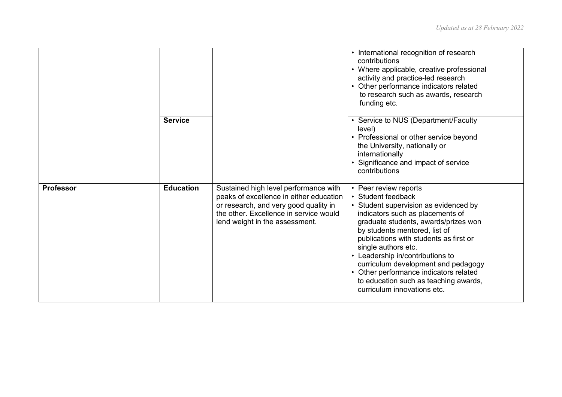|                  |                  |                                                                                                                                                                                                       | • International recognition of research<br>contributions<br>• Where applicable, creative professional<br>activity and practice-led research<br>Other performance indicators related<br>to research such as awards, research<br>funding etc.                                                                                                                                                                                                                                           |
|------------------|------------------|-------------------------------------------------------------------------------------------------------------------------------------------------------------------------------------------------------|---------------------------------------------------------------------------------------------------------------------------------------------------------------------------------------------------------------------------------------------------------------------------------------------------------------------------------------------------------------------------------------------------------------------------------------------------------------------------------------|
|                  | <b>Service</b>   |                                                                                                                                                                                                       | • Service to NUS (Department/Faculty<br>level)<br>• Professional or other service beyond<br>the University, nationally or<br>internationally<br>Significance and impact of service<br>contributions                                                                                                                                                                                                                                                                                   |
| <b>Professor</b> | <b>Education</b> | Sustained high level performance with<br>peaks of excellence in either education<br>or research, and very good quality in<br>the other. Excellence in service would<br>lend weight in the assessment. | • Peer review reports<br>• Student feedback<br>• Student supervision as evidenced by<br>indicators such as placements of<br>graduate students, awards/prizes won<br>by students mentored, list of<br>publications with students as first or<br>single authors etc.<br>Leadership in/contributions to<br>$\bullet$<br>curriculum development and pedagogy<br>Other performance indicators related<br>$\bullet$<br>to education such as teaching awards,<br>curriculum innovations etc. |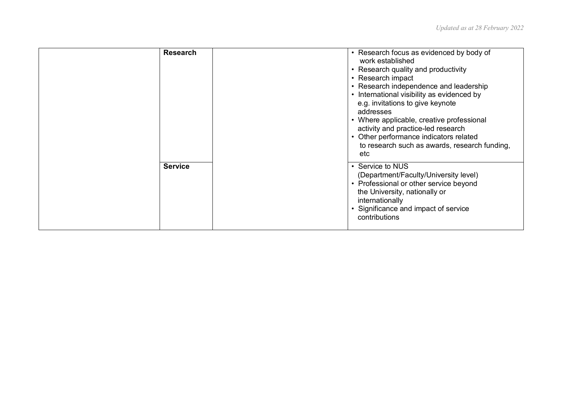| <b>Research</b> | • Research focus as evidenced by body of<br>work established<br>• Research quality and productivity<br>• Research impact<br>• Research independence and leadership<br>• International visibility as evidenced by<br>e.g. invitations to give keynote<br>addresses<br>• Where applicable, creative professional<br>activity and practice-led research<br>• Other performance indicators related<br>to research such as awards, research funding,<br>etc |
|-----------------|--------------------------------------------------------------------------------------------------------------------------------------------------------------------------------------------------------------------------------------------------------------------------------------------------------------------------------------------------------------------------------------------------------------------------------------------------------|
| <b>Service</b>  | • Service to NUS<br>(Department/Faculty/University level)<br>• Professional or other service beyond<br>the University, nationally or<br>internationally<br>• Significance and impact of service<br>contributions                                                                                                                                                                                                                                       |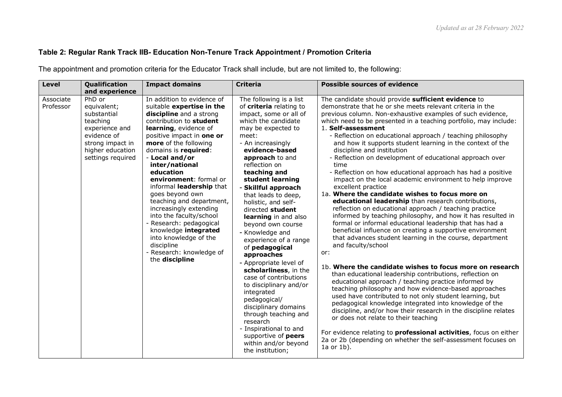### **Table 2: Regular Rank Track IIB- Education Non-Tenure Track Appointment / Promotion Criteria**

The appointment and promotion criteria for the Educator Track shall include, but are not limited to, the following:

| <b>Level</b><br>Qualification                                                                                                                                            | <b>Impact domains</b>                                                                                                                                                                                                                                                                                                                                                                                                                                                                                                                                                   | <b>Criteria</b>                                                                                                                                                                                                                                                                                                                                                                                                                                                                                                                                                                                                                                                                                                      | <b>Possible sources of evidence</b>                                                                                                                                                                                                                                                                                                                                                                                                                                                                                                                                                                                                                                                                                                                                                                                                                                                                                                                                                                                                                                                                                                                                                                                                                                                                                                                                                                                                                                                                                                                                                                                                                                                                                                 |
|--------------------------------------------------------------------------------------------------------------------------------------------------------------------------|-------------------------------------------------------------------------------------------------------------------------------------------------------------------------------------------------------------------------------------------------------------------------------------------------------------------------------------------------------------------------------------------------------------------------------------------------------------------------------------------------------------------------------------------------------------------------|----------------------------------------------------------------------------------------------------------------------------------------------------------------------------------------------------------------------------------------------------------------------------------------------------------------------------------------------------------------------------------------------------------------------------------------------------------------------------------------------------------------------------------------------------------------------------------------------------------------------------------------------------------------------------------------------------------------------|-------------------------------------------------------------------------------------------------------------------------------------------------------------------------------------------------------------------------------------------------------------------------------------------------------------------------------------------------------------------------------------------------------------------------------------------------------------------------------------------------------------------------------------------------------------------------------------------------------------------------------------------------------------------------------------------------------------------------------------------------------------------------------------------------------------------------------------------------------------------------------------------------------------------------------------------------------------------------------------------------------------------------------------------------------------------------------------------------------------------------------------------------------------------------------------------------------------------------------------------------------------------------------------------------------------------------------------------------------------------------------------------------------------------------------------------------------------------------------------------------------------------------------------------------------------------------------------------------------------------------------------------------------------------------------------------------------------------------------------|
| and experience                                                                                                                                                           |                                                                                                                                                                                                                                                                                                                                                                                                                                                                                                                                                                         |                                                                                                                                                                                                                                                                                                                                                                                                                                                                                                                                                                                                                                                                                                                      |                                                                                                                                                                                                                                                                                                                                                                                                                                                                                                                                                                                                                                                                                                                                                                                                                                                                                                                                                                                                                                                                                                                                                                                                                                                                                                                                                                                                                                                                                                                                                                                                                                                                                                                                     |
| PhD or<br>Associate<br>Professor<br>equivalent;<br>substantial<br>teaching<br>experience and<br>evidence of<br>strong impact in<br>higher education<br>settings required | In addition to evidence of<br>suitable expertise in the<br>discipline and a strong<br>contribution to student<br>learning, evidence of<br>positive impact in one or<br>more of the following<br>domains is required:<br>- Local and/or<br>inter/national<br>education<br>environment: formal or<br>informal leadership that<br>goes beyond own<br>teaching and department,<br>increasingly extending<br>into the faculty/school<br>- Research: pedagogical<br>knowledge integrated<br>into knowledge of the<br>discipline<br>- Research: knowledge of<br>the discipline | The following is a list<br>of criteria relating to<br>impact, some or all of<br>which the candidate<br>may be expected to<br>meet:<br>- An increasingly<br>evidence-based<br>approach to and<br>reflection on<br>teaching and<br>student learning<br>- Skillful approach<br>that leads to deep,<br>holistic, and self-<br>directed student<br>learning in and also<br>beyond own course<br>- Knowledge and<br>experience of a range<br>of pedagogical<br>approaches<br>- Appropriate level of<br>scholarliness, in the<br>case of contributions<br>to disciplinary and/or<br>integrated<br>pedagogical/<br>disciplinary domains<br>through teaching and<br>research<br>- Inspirational to and<br>supportive of peers | The candidate should provide sufficient evidence to<br>demonstrate that he or she meets relevant criteria in the<br>previous column. Non-exhaustive examples of such evidence,<br>which need to be presented in a teaching portfolio, may include:<br>1. Self-assessment<br>- Reflection on educational approach / teaching philosophy<br>and how it supports student learning in the context of the<br>discipline and institution<br>- Reflection on development of educational approach over<br>time<br>- Reflection on how educational approach has had a positive<br>impact on the local academic environment to help improve<br>excellent practice<br>1a. Where the candidate wishes to focus more on<br>educational leadership than research contributions,<br>reflection on educational approach / teaching practice<br>informed by teaching philosophy, and how it has resulted in<br>formal or informal educational leadership that has had a<br>beneficial influence on creating a supportive environment<br>that advances student learning in the course, department<br>and faculty/school<br>or:<br>1b. Where the candidate wishes to focus more on research<br>than educational leadership contributions, reflection on<br>educational approach / teaching practice informed by<br>teaching philosophy and how evidence-based approaches<br>used have contributed to not only student learning, but<br>pedagogical knowledge integrated into knowledge of the<br>discipline, and/or how their research in the discipline relates<br>or does not relate to their teaching<br>For evidence relating to <b>professional activities</b> , focus on either<br>2a or 2b (depending on whether the self-assessment focuses on |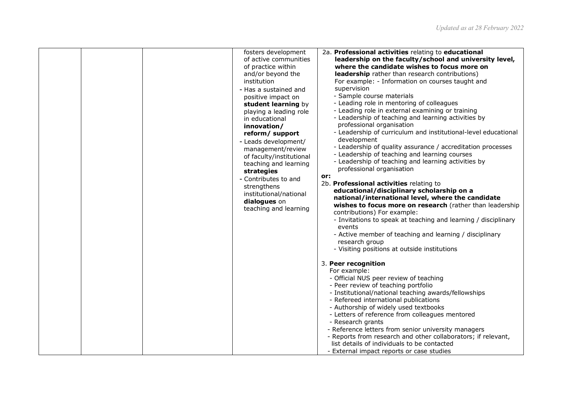|  | fosters development<br>of active communities<br>of practice within<br>and/or beyond the<br>institution<br>- Has a sustained and<br>positive impact on<br>student learning by<br>playing a leading role<br>in educational<br>innovation/<br>reform/ support<br>- Leads development/<br>management/review<br>of faculty/institutional<br>teaching and learning<br>strategies<br>- Contributes to and<br>strengthens<br>institutional/national<br>dialogues on<br>teaching and learning | 2a. Professional activities relating to educational<br>leadership on the faculty/school and university level,<br>where the candidate wishes to focus more on<br>leadership rather than research contributions)<br>For example: - Information on courses taught and<br>supervision<br>- Sample course materials<br>- Leading role in mentoring of colleagues<br>- Leading role in external examining or training<br>- Leadership of teaching and learning activities by<br>professional organisation<br>- Leadership of curriculum and institutional-level educational<br>development<br>- Leadership of quality assurance / accreditation processes<br>- Leadership of teaching and learning courses<br>- Leadership of teaching and learning activities by<br>professional organisation<br>or:<br>2b. Professional activities relating to<br>educational/disciplinary scholarship on a<br>national/international level, where the candidate<br>wishes to focus more on research (rather than leadership<br>contributions) For example:<br>- Invitations to speak at teaching and learning / disciplinary<br>events<br>- Active member of teaching and learning / disciplinary<br>research group<br>- Visiting positions at outside institutions |
|--|--------------------------------------------------------------------------------------------------------------------------------------------------------------------------------------------------------------------------------------------------------------------------------------------------------------------------------------------------------------------------------------------------------------------------------------------------------------------------------------|--------------------------------------------------------------------------------------------------------------------------------------------------------------------------------------------------------------------------------------------------------------------------------------------------------------------------------------------------------------------------------------------------------------------------------------------------------------------------------------------------------------------------------------------------------------------------------------------------------------------------------------------------------------------------------------------------------------------------------------------------------------------------------------------------------------------------------------------------------------------------------------------------------------------------------------------------------------------------------------------------------------------------------------------------------------------------------------------------------------------------------------------------------------------------------------------------------------------------------------------------|
|  |                                                                                                                                                                                                                                                                                                                                                                                                                                                                                      | 3. Peer recognition<br>For example:<br>- Official NUS peer review of teaching<br>- Peer review of teaching portfolio<br>- Institutional/national teaching awards/fellowships<br>- Refereed international publications<br>- Authorship of widely used textbooks<br>- Letters of reference from colleagues mentored<br>- Research grants<br>- Reference letters from senior university managers<br>- Reports from research and other collaborators; if relevant,<br>list details of individuals to be contacted<br>- External impact reports or case studies                                                                                                                                                                                                                                                                                                                                                                                                                                                                                                                                                                                                                                                                                       |